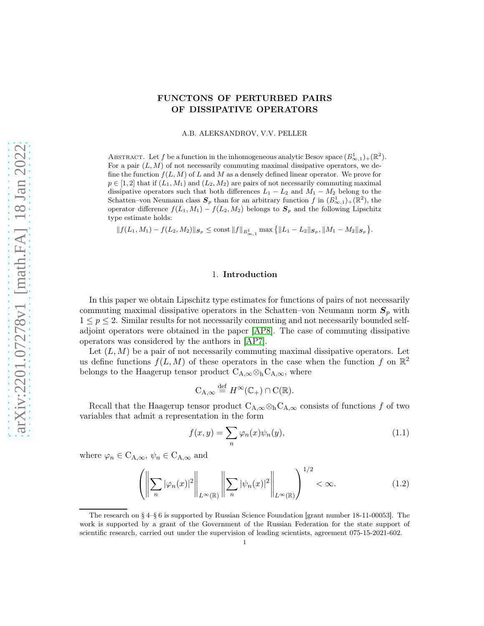# FUNCTONS OF PERTURBED PAIRS OF DISSIPATIVE OPERATORS

A.B. ALEKSANDROV, V.V. PELLER

ABSTRACT. Let f be a function in the inhomogeneous analytic Besov space  $(B_{\infty,1}^1)_+({\mathbb{R}}^2)$ . For a pair  $(L, M)$  of not necessarily commuting maximal dissipative operators, we define the function  $f(L, M)$  of L and M as a densely defined linear operator. We prove for  $p \in [1, 2]$  that if  $(L_1, M_1)$  and  $(L_2, M_2)$  are pairs of not necessarily commuting maximal dissipative operators such that both differences  $L_1 - L_2$  and  $M_1 - M_2$  belong to the Schatten–von Neumann class  $S_p$  than for an arbitrary function f in  $(B_{\infty,1}^1)_+(\mathbb{R}^2)$ , the operator difference  $f(L_1, M_1) - f(L_2, M_2)$  belongs to  $S_p$  and the following Lipschitz type estimate holds:

 $|| f(L_1, M_1) - f(L_2, M_2)||_{\mathcal{S}_p} \le \text{const} ||f||_{B^1_{\infty, 1}} \max \{ ||L_1 - L_2||_{\mathcal{S}_p}, ||M_1 - M_2||_{\mathcal{S}_p} \}.$ 

#### 1. Introduction

In this paper we obtain Lipschitz type estimates for functions of pairs of not necessarily commuting maximal dissipative operators in the Schatten–von Neumann norm  $S_p$  with  $1 \leq p \leq 2$ . Similar results for not necessarily commuting and not necessarily bounded selfadjoint operators were obtained in the paper [\[AP8\]](#page-16-0). The case of commuting dissipative operators was considered by the authors in [\[AP7\]](#page-16-1).

Let  $(L, M)$  be a pair of not necessarily commuting maximal dissipative operators. Let us define functions  $f(L, M)$  of these operators in the case when the function f on  $\mathbb{R}^2$ belongs to the Haagerup tensor product  $C_{A,\infty} \otimes_h C_{A,\infty}$ , where

$$
C_{A,\infty} \stackrel{\text{def}}{=} H^{\infty}(\mathbb{C}_+) \cap C(\mathbb{R}).
$$

Recall that the Haagerup tensor product  $C_{A,\infty} \otimes_h C_{A,\infty}$  consists of functions f of two variables that admit a representation in the form

<span id="page-0-1"></span>
$$
f(x,y) = \sum_{n} \varphi_n(x)\psi_n(y),\tag{1.1}
$$

where  $\varphi_n \in C_{A,\infty}$ ,  $\psi_n \in C_{A,\infty}$  and

<span id="page-0-0"></span>
$$
\left(\left\|\sum_{n} |\varphi_n(x)|^2\right\|_{L^{\infty}(\mathbb{R})} \left\|\sum_{n} |\psi_n(x)|^2\right\|_{L^{\infty}(\mathbb{R})}\right)^{1/2} < \infty.
$$
 (1.2)

The research on § 4–§ 6 is supported by Russian Science Foundation [grant number 18-11-00053]. The work is supported by a grant of the Government of the Russian Federation for the state support of scientific research, carried out under the supervision of leading scientists, agreement 075-15-2021-602.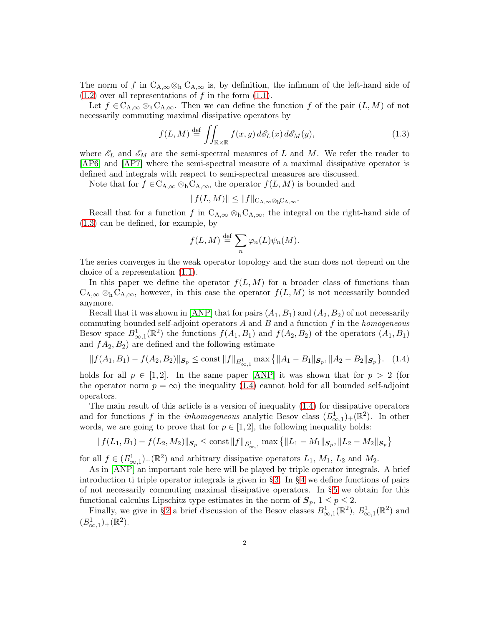The norm of f in  $C_{A,\infty} \otimes_h C_{A,\infty}$  is, by definition, the infimum of the left-hand side of  $(1.2)$  over all representations of f in the form  $(1.1)$ .

Let  $f \in C_{A,\infty} \otimes_h C_{A,\infty}$ . Then we can define the function f of the pair  $(L, M)$  of not necessarily commuting maximal dissipative operators by

<span id="page-1-0"></span>
$$
f(L,M) \stackrel{\text{def}}{=} \iint_{\mathbb{R} \times \mathbb{R}} f(x,y) \, d\mathcal{E}_L(x) \, d\mathcal{E}_M(y),\tag{1.3}
$$

where  $\mathscr{E}_L$  and  $\mathscr{E}_M$  are the semi-spectral measures of L and M. We refer the reader to [\[AP6\]](#page-16-2) and [\[AP7\]](#page-16-1) where the semi-spectral measure of a maximal dissipative operator is defined and integrals with respect to semi-spectral measures are discussed.

Note that for  $f \in C_{A,\infty} \otimes_h C_{A,\infty}$ , the operator  $f(L,M)$  is bounded and

$$
||f(L,M)|| \leq ||f||_{\mathcal{C}_{\mathcal{A},\infty} \otimes_{\mathcal{b}} \mathcal{C}_{\mathcal{A},\infty}}.
$$

Recall that for a function f in  $C_{A,\infty} \otimes_h C_{A,\infty}$ , the integral on the right-hand side of [\(1.3\)](#page-1-0) can be defined, for example, by

$$
f(L, M) \stackrel{\text{def}}{=} \sum_{n} \varphi_n(L) \psi_n(M).
$$

The series converges in the weak operator topology and the sum does not depend on the choice of a representation [\(1.1\)](#page-0-1).

In this paper we define the operator  $f(L, M)$  for a broader class of functions than  $C_{A,\infty} \otimes_h C_{A,\infty}$ , however, in this case the operator  $f(L,M)$  is not necessarily bounded anymore.

Recall that it was shown in [\[ANP\]](#page-16-3) that for pairs  $(A_1, B_1)$  and  $(A_2, B_2)$  of not necessarily commuting bounded self-adjoint operators  $A$  and  $B$  and a function  $f$  in the *homogeneous* Besov space  $B^1_{\infty,1}(\mathbb{R}^2)$  the functions  $f(A_1, B_1)$  and  $f(A_2, B_2)$  of the operators  $(A_1, B_1)$ and  $fA_2, B_2$  are defined and the following estimate

<span id="page-1-1"></span>
$$
||f(A_1, B_1) - f(A_2, B_2)||_{\mathcal{S}_p} \le \text{const} ||f||_{B^1_{\infty, 1}} \max \left\{ ||A_1 - B_1||_{\mathcal{S}_p}, ||A_2 - B_2||_{\mathcal{S}_p} \right\}. \tag{1.4}
$$

holds for all  $p \in [1, 2]$ . In the same paper [\[ANP\]](#page-16-3) it was shown that for  $p > 2$  (for the operator norm  $p = \infty$ ) the inequality [\(1.4\)](#page-1-1) cannot hold for all bounded self-adjoint operators.

The main result of this article is a version of inequality [\(1.4\)](#page-1-1) for dissipative operators and for functions f in the *inhomogeneous* analytic Besov class  $(B_{\infty,1}^1)_+(\mathbb{R}^2)$ . In other words, we are going to prove that for  $p \in [1,2]$ , the following inequality holds:

$$
|| f(L_1, B_1) - f(L_2, M_2)||_{\mathcal{S}_p} \le \text{const } || f ||_{B_{\infty,1}^1} \max \left\{ ||L_1 - M_1||_{\mathcal{S}_p}, ||L_2 - M_2||_{\mathcal{S}_p} \right\}
$$

for all  $f \in (B^1_{\infty,1})_+(\mathbb{R}^2)$  and arbitrary dissipative operators  $L_1$ ,  $M_1$ ,  $L_2$  and  $M_2$ .

As in [\[ANP\]](#page-16-3) an important role here will be played by triple operator integrals. A brief introduction ti triple operator integrals is given in § [3.](#page-4-0) In § [4](#page-8-0) we define functions of pairs of not necessarily commuting maximal dissipative operators. In § [5](#page-10-0) we obtain for this functional calculus Lipschitz type estimates in the norm of  $S_p$ ,  $1 \leq p \leq 2$ .

Finally, we give in §2 a brief discussion of the Besov classes  $B^1_{\infty,1}(\mathbb{R}^2)$ ,  $B^1_{\infty,1}(\mathbb{R}^2)$  and  $(B^1_{\infty,1})_+(\mathbb{R}^2)$ .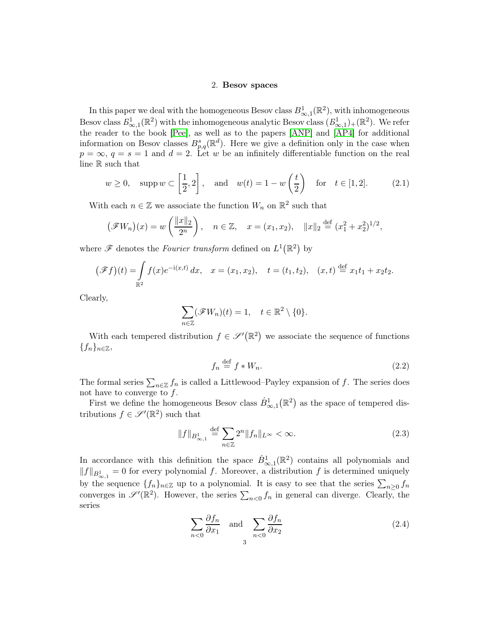#### 2. Besov spaces

<span id="page-2-0"></span>In this paper we deal with the homogeneous Besov class  $B^1_{\infty,1}(\mathbb{R}^2)$ , with inhomogeneous Besov class  $B^1_{\infty,1}(\mathbb{R}^2)$  with the inhomogeneous analytic Besov class  $(B^1_{\infty,1})_+(\mathbb{R}^2)$ . We refer the reader to the book [\[Pee\]](#page-16-4), as well as to the papers [\[ANP\]](#page-16-3) and [\[AP4\]](#page-16-5) for additional information on Besov classes  $B_{p,q}^s(\mathbb{R}^d)$ . Here we give a definition only in the case when  $p = \infty$ ,  $q = s = 1$  and  $d = 2$ . Let w be an infinitely differentiable function on the real line R such that

$$
w \ge 0
$$
,  $\text{supp } w \subset \left[\frac{1}{2}, 2\right]$ , and  $w(t) = 1 - w\left(\frac{t}{2}\right)$  for  $t \in [1, 2]$ . (2.1)

With each  $n \in \mathbb{Z}$  we associate the function  $W_n$  on  $\mathbb{R}^2$  such that

$$
(\mathscr{F}W_n)(x) = w\left(\frac{\|x\|_2}{2^n}\right), \quad n \in \mathbb{Z}, \quad x = (x_1, x_2), \quad \|x\|_2 \stackrel{\text{def}}{=} (x_1^2 + x_2^2)^{1/2},
$$

where  $\mathscr F$  denotes the *Fourier transform* defined on  $L^1(\mathbb{R}^2)$  by

$$
(\mathscr{F}f)(t) = \int_{\mathbb{R}^2} f(x)e^{-i(x,t)} dx, \quad x = (x_1, x_2), \quad t = (t_1, t_2), \quad (x, t) \stackrel{\text{def}}{=} x_1t_1 + x_2t_2.
$$

Clearly,

$$
\sum_{n\in\mathbb{Z}}(\mathscr{F}W_n)(t)=1,\quad t\in\mathbb{R}^2\setminus\{0\}.
$$

With each tempered distribution  $f \in \mathscr{S}'(\mathbb{R}^2)$  we associate the sequence of functions  ${f_n}_{n\in\mathbb{Z}},$ 

<span id="page-2-2"></span>
$$
f_n \stackrel{\text{def}}{=} f * W_n. \tag{2.2}
$$

The formal series  $\sum_{n\in\mathbb{Z}}f_n$  is called a Littlewood–Payley expansion of f. The series does not have to converge to  $f$ .

First we define the homogeneous Besov class  $\dot{B}^1_{\infty,1}(\mathbb{R}^2)$  as the space of tempered distributions  $f \in \mathscr{S}'(\mathbb{R}^2)$  such that

<span id="page-2-1"></span>
$$
||f||_{B^{1}_{\infty,1}} \stackrel{\text{def}}{=} \sum_{n \in \mathbb{Z}} 2^n ||f_n||_{L^{\infty}} < \infty.
$$
 (2.3)

In accordance with this definition the space  $\dot{B}^1_{\infty,1}(\mathbb{R}^2)$  contains all polynomials and  $||f||_{B^1_{\infty,1}} = 0$  for every polynomial f. Moreover, a distribution f is determined uniquely by the sequence  $\{f_n\}_{n\in\mathbb{Z}}$  up to a polynomial. It is easy to see that the series  $\sum_{n\geq 0} f_n$ converges in  $\mathscr{S}'(\mathbb{R}^2)$ . However, the series  $\sum_{n<0} f_n$  in general can diverge. Clearly, the series

$$
\sum_{n<0} \frac{\partial f_n}{\partial x_1} \quad \text{and} \quad \sum_{n<0} \frac{\partial f_n}{\partial x_2} \tag{2.4}
$$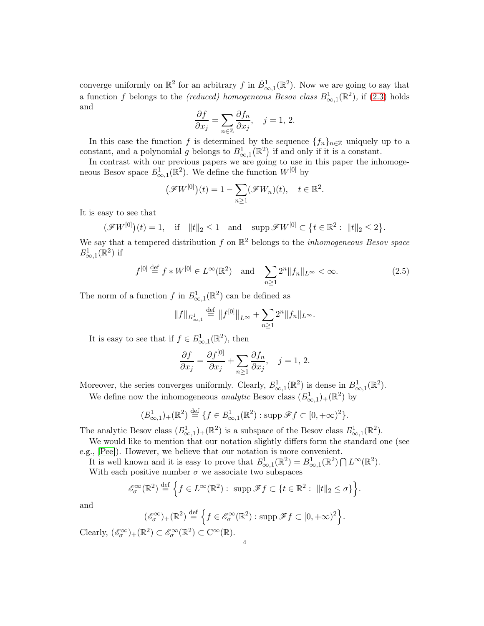converge uniformly on  $\mathbb{R}^2$  for an arbitrary f in  $\dot{B}^1_{\infty,1}(\mathbb{R}^2)$ . Now we are going to say that a function f belongs to the *(reduced)* homogeneous Besov class  $B^1_{\infty,1}(\mathbb{R}^2)$ , if [\(2.3\)](#page-2-1) holds and

$$
\frac{\partial f}{\partial x_j} = \sum_{n \in \mathbb{Z}} \frac{\partial f_n}{\partial x_j}, \quad j = 1, 2.
$$

In this case the function f is determined by the sequence  $\{f_n\}_{n\in\mathbb{Z}}$  uniquely up to a constant, and a polynomial g belongs to  $B^1_{\infty,1}(\mathbb{R}^2)$  if and only if it is a constant.

In contrast with our previous papers we are going to use in this paper the inhomogeneous Besov space  $B^1_{\infty,1}(\mathbb{R}^2)$ . We define the function  $W^{[0]}$  by

$$
\big(\mathscr{F}W^{[0]}\big)(t) = 1 - \sum_{n\geq 1} \big(\mathscr{F}W_n\big)(t), \quad t \in \mathbb{R}^2.
$$

It is easy to see that

$$
(\mathscr{F}W^{[0]})(t) = 1
$$
, if  $||t||_2 \le 1$  and  $\text{supp }\mathscr{F}W^{[0]} \subset \{t \in \mathbb{R}^2 : ||t||_2 \le 2\}.$ 

We say that a tempered distribution f on  $\mathbb{R}^2$  belongs to the *inhomogeneous Besov space*  $E^1_{\infty,1}(\mathbb{R}^2)$  if

<span id="page-3-0"></span>
$$
f^{[0]} \stackrel{\text{def}}{=} f * W^{[0]} \in L^{\infty}(\mathbb{R}^2) \quad \text{and} \quad \sum_{n \ge 1} 2^n \|f_n\|_{L^{\infty}} < \infty. \tag{2.5}
$$

The norm of a function  $f$  in  $B^1_{\infty,1}(\mathbb{R}^2)$  can be defined as

$$
||f||_{B^{1}_{\infty,1}} \stackrel{\text{def}}{=} ||f^{[0]}||_{L^{\infty}} + \sum_{n\geq 1} 2^{n} ||f_{n}||_{L^{\infty}}.
$$

It is easy to see that if  $f \in B^1_{\infty,1}(\mathbb{R}^2)$ , then

$$
\frac{\partial f}{\partial x_j} = \frac{\partial f^{[0]}}{\partial x_j} + \sum_{n \ge 1} \frac{\partial f_n}{\partial x_j}, \quad j = 1, 2.
$$

Moreover, the series converges uniformly. Clearly,  $B^1_{\infty,1}(\mathbb{R}^2)$  is dense in  $B^1_{\infty,1}(\mathbb{R}^2)$ .

We define now the inhomogeneous *analytic* Besov class  $(B_{\infty,1}^1)_+({\mathbb{R}}^2)$  by

$$
(B_{\infty,1}^1)_+(\mathbb{R}^2) \stackrel{\text{def}}{=} \{f \in B_{\infty,1}^1(\mathbb{R}^2) : \text{supp }\mathscr{F}f \subset [0,+\infty)^2\}.
$$

The analytic Besov class  $(B_{\infty,1}^1)_+ (\mathbb{R}^2)$  is a subspace of the Besov class  $B_{\infty,1}^1(\mathbb{R}^2)$ .

We would like to mention that our notation slightly differs form the standard one (see e.g., [\[Pee\]](#page-16-4)). However, we believe that our notation is more convenient.

It is well known and it is easy to prove that  $B^1_{\infty,1}(\mathbb{R}^2) = B^1_{\infty,1}(\mathbb{R}^2) \bigcap L^{\infty}(\mathbb{R}^2)$ . With each positive number  $\sigma$  we associate two subspaces

$$
\mathscr{E}_{\sigma}^{\infty}(\mathbb{R}^2) \stackrel{\text{def}}{=} \Big\{ f \in L^{\infty}(\mathbb{R}^2) : \ \operatorname{supp} \mathscr{F} f \subset \{ t \in \mathbb{R}^2 : \ \|t\|_2 \le \sigma \} \Big\}.
$$

and

$$
(\mathscr{E}_{\sigma}^{\infty})_{+}(\mathbb{R}^{2}) \stackrel{\text{def}}{=} \left\{ f \in \mathscr{E}_{\sigma}^{\infty}(\mathbb{R}^{2}) : \operatorname{supp} \mathscr{F} f \subset [0, +\infty)^{2} \right\}.
$$

Clearly,  $(\mathscr{E}_{\sigma}^{\infty})_{+}(\mathbb{R}^{2}) \subset \mathscr{E}_{\sigma}^{\infty}(\mathbb{R}^{2}) \subset C^{\infty}(\mathbb{R})$ .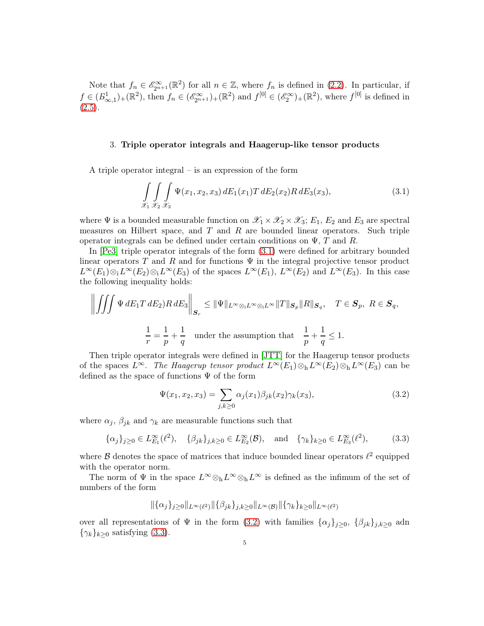Note that  $f_n \in \mathscr{E}_{2^{n+1}}(\mathbb{R}^2)$  for all  $n \in \mathbb{Z}$ , where  $f_n$  is defined in [\(2.2\)](#page-2-2). In particular, if  $f \in (B_{\infty,1}^1)_+(\mathbb{R}^2)$ , then  $f_n \in (\mathscr{E}_{2^{n+1}}^{\infty})_+(\mathbb{R}^2)$  and  $f^{[0]} \in (\mathscr{E}_2^{\infty})_+(\mathbb{R}^2)$ , where  $f^{[0]}$  is defined in  $(2.5).$  $(2.5).$ 

# <span id="page-4-0"></span>3. Triple operator integrals and Haagerup-like tensor products

A triple operator integral – is an expression of the form

<span id="page-4-1"></span>
$$
\int_{\mathcal{X}_1} \int_{\mathcal{X}_2} \int_{\mathcal{X}_3} \Psi(x_1, x_2, x_3) \, dE_1(x_1) T \, dE_2(x_2) R \, dE_3(x_3),\tag{3.1}
$$

where  $\Psi$  is a bounded measurable function on  $\mathscr{X}_1 \times \mathscr{X}_2 \times \mathscr{X}_3$ ;  $E_1$ ,  $E_2$  and  $E_3$  are spectral measures on Hilbert space, and  $T$  and  $R$  are bounded linear operators. Such triple operator integrals can be defined under certain conditions on  $\Psi$ , T and R.

In [\[Pe3\]](#page-16-6) triple operator integrals of the form [\(3.1\)](#page-4-1) were defined for arbitrary bounded linear operators T and R and for functions  $\Psi$  in the integral projective tensor product  $L^{\infty}(E_1)\otimes_i L^{\infty}(E_2)\otimes_i L^{\infty}(E_3)$  of the spaces  $L^{\infty}(E_1)$ ,  $L^{\infty}(E_2)$  and  $L^{\infty}(E_3)$ . In this case the following inequality holds:

$$
\left\| \iiint \Psi \, dE_1 T \, dE_2 R \, dE_3 \right\|_{\mathcal{S}_r} \leq \|\Psi\|_{L^\infty \otimes_i L^\infty \otimes_i L^\infty} \|T\|_{\mathcal{S}_p} \|R\|_{\mathcal{S}_q}, \quad T \in \mathcal{S}_p, \ R \in \mathcal{S}_q,
$$
  

$$
\frac{1}{r} = \frac{1}{p} + \frac{1}{q} \quad \text{under the assumption that} \quad \frac{1}{p} + \frac{1}{q} \leq 1.
$$

Then triple operator integrals were defined in [\[JTT\]](#page-16-7) for the Haagerup tensor products of the spaces  $L^{\infty}$ . The Haagerup tensor product  $L^{\infty}(E_1) \otimes_h L^{\infty}(E_2) \otimes_h L^{\infty}(E_3)$  can be defined as the space of functions  $\Psi$  of the form

<span id="page-4-2"></span>
$$
\Psi(x_1, x_2, x_3) = \sum_{j,k \ge 0} \alpha_j(x_1) \beta_{jk}(x_2) \gamma_k(x_3), \tag{3.2}
$$

where  $\alpha_j$ ,  $\beta_{jk}$  and  $\gamma_k$  are measurable functions such that

<span id="page-4-3"></span>
$$
\{\alpha_j\}_{j\geq 0} \in L_{E_1}^{\infty}(\ell^2), \quad \{\beta_{jk}\}_{j,k\geq 0} \in L_{E_2}^{\infty}(\mathcal{B}), \quad \text{and} \quad \{\gamma_k\}_{k\geq 0} \in L_{E_3}^{\infty}(\ell^2), \tag{3.3}
$$

where  $\beta$  denotes the space of matrices that induce bounded linear operators  $\ell^2$  equipped with the operator norm.

The norm of  $\Psi$  in the space  $L^{\infty} \otimes_h L^{\infty} \otimes_h L^{\infty}$  is defined as the infimum of the set of numbers of the form

$$
\|\{\alpha_j\}_{j\geq 0}\|_{L^{\infty}(\ell^2)}\|\{\beta_{jk}\}_{j,k\geq 0}\|_{L^{\infty}(\mathcal{B})}\|\{\gamma_k\}_{k\geq 0}\|_{L^{\infty}(\ell^2)}
$$

over all representations of  $\Psi$  in the form [\(3.2\)](#page-4-2) with families  $\{\alpha_j\}_{j\geq 0}$ ,  $\{\beta_{jk}\}_{j,k\geq 0}$  adn  $\{\gamma_k\}_{k\geq 0}$  satisfying [\(3.3\)](#page-4-3).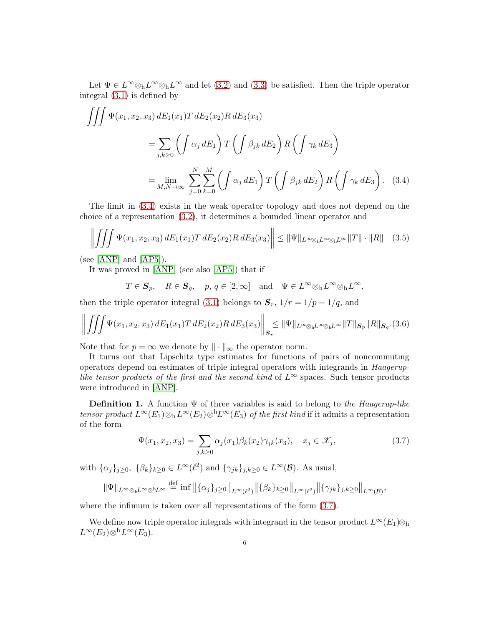Let  $\Psi \in L^{\infty} \otimes_{h} L^{\infty} \otimes_{h} L^{\infty}$  and let [\(3.2\)](#page-4-2) and [\(3.3\)](#page-4-3) be satisfied. Then the triple operator integral [\(3.1\)](#page-4-1) is defined by

$$
\iiint \Psi(x_1, x_2, x_3) dE_1(x_1) T dE_2(x_2) R dE_3(x_3)
$$
  
= 
$$
\sum_{j,k \ge 0} \left( \int \alpha_j dE_1 \right) T \left( \int \beta_{jk} dE_2 \right) R \left( \int \gamma_k dE_3 \right)
$$
  
= 
$$
\lim_{M,N \to \infty} \sum_{j=0}^N \sum_{k=0}^M \left( \int \alpha_j dE_1 \right) T \left( \int \beta_{jk} dE_2 \right) R \left( \int \gamma_k dE_3 \right).
$$
 (3.4)

The limit in [\(3.4\)](#page-5-0) exists in the weak operator topology and does not depend on the choice of a representation [\(3.2\)](#page-4-2), it determines a bounded linear operator and

<span id="page-5-3"></span>
$$
\left\| \iiint \Psi(x_1, x_2, x_3) \, dE_1(x_1) T \, dE_2(x_2) R \, dE_3(x_3) \right\| \leq \|\Psi\|_{L^{\infty} \otimes_{\mathcal{h}} L^{\infty} \otimes_{\mathcal{h}} L^{\infty}} \|T\| \cdot \|R\| \quad (3.5)
$$

(see  $[AMP]$  and  $[AP5]$ ).

It was proved in [\[ANP\]](#page-16-3) (see also [\[AP5\]](#page-16-8)) that if

<span id="page-5-0"></span>
$$
T \in \mathcal{S}_p
$$
,  $R \in \mathcal{S}_q$ ,  $p, q \in [2, \infty]$  and  $\Psi \in L^{\infty} \otimes_{h} L^{\infty} \otimes_{h} L^{\infty}$ ,

then the triple operator integral [\(3.1\)](#page-4-1) belongs to  $S_r$ ,  $1/r = 1/p + 1/q$ , and

<span id="page-5-2"></span>
$$
\left\| \iiint \Psi(x_1, x_2, x_3) \, dE_1(x_1) T \, dE_2(x_2) R \, dE_3(x_3) \right\|_{\mathcal{S}_r} \leq \|\Psi\|_{L^{\infty} \otimes_{\mathbf{h}} L^{\infty} \otimes_{\mathbf{h}} L^{\infty}} \|T\|_{\mathcal{S}_p} \|R\|_{\mathcal{S}_q} . (3.6)
$$

Note that for  $p = \infty$  we denote by  $\|\cdot\|_{\infty}$  the operator norm.

It turns out that Lipschitz type estimates for functions of pairs of noncommuting operators depend on estimates of triple integral operators with integrands in Haageruplike tensor products of the first and the second kind of  $L^{\infty}$  spaces. Such tensor products were introduced in [\[ANP\]](#page-16-3).

**Definition 1.** A function  $\Psi$  of three variables is said to belong to the Haagerup-like tensor product  $L^{\infty}(E_1) \otimes_h L^{\infty}(E_2) \otimes^h L^{\infty}(E_3)$  of the first kind if it admits a representation of the form

<span id="page-5-1"></span>
$$
\Psi(x_1, x_2, x_3) = \sum_{j,k \ge 0} \alpha_j(x_1) \beta_k(x_2) \gamma_{jk}(x_3), \quad x_j \in \mathcal{X}_j,
$$
\n(3.7)

with  $\{\alpha_j\}_{j\geq 0}, \ \{\beta_k\}_{k\geq 0} \in L^{\infty}(\ell^2)$  and  $\{\gamma_{jk}\}_{j,k\geq 0} \in L^{\infty}(\mathcal{B})$ . As usual,

$$
\|\Psi\|_{L^{\infty}\otimes_{\mathbf{h}}L^{\infty}\otimes^{\mathbf{h}}L^{\infty}} \stackrel{\text{def}}{=} \inf \left\|\{\alpha_j\}_{j\geq 0}\right\|_{L^{\infty}(\ell^2)} \left\|\{\beta_k\}_{k\geq 0}\right\|_{L^{\infty}(\ell^2)} \left\|\{\gamma_{jk}\}_{j,k\geq 0}\right\|_{L^{\infty}(\mathcal{B})},
$$

where the infimum is taken over all representations of the form  $(3.7)$ .

We define now triple operator integrals with integrand in the tensor product  $L^{\infty}(E_1)\otimes_h$  $L^{\infty}(E_2)\otimes^{\text{h}} L^{\infty}(E_3).$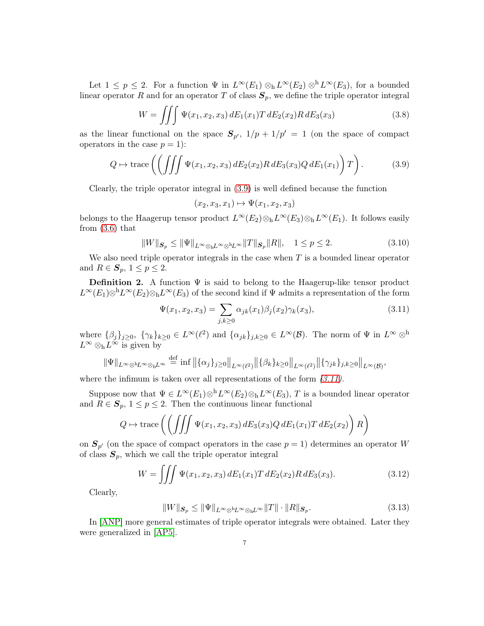Let  $1 \leq p \leq 2$ . For a function  $\Psi$  in  $L^{\infty}(E_1) \otimes_h L^{\infty}(E_2) \otimes^h L^{\infty}(E_3)$ , for a bounded linear operator R and for an operator T of class  $S_p$ , we define the triple operator integral

$$
W = \iiint \Psi(x_1, x_2, x_3) dE_1(x_1) T dE_2(x_2) R dE_3(x_3)
$$
 (3.8)

as the linear functional on the space  $S_{p'}$ ,  $1/p + 1/p' = 1$  (on the space of compact operators in the case  $p = 1$ :

<span id="page-6-0"></span>
$$
Q \mapsto \text{trace}\left(\left(\iiint \Psi(x_1, x_2, x_3) dE_2(x_2) R dE_3(x_3) Q dE_1(x_1)\right) T\right). \tag{3.9}
$$

Clearly, the triple operator integral in [\(3.9\)](#page-6-0) is well defined because the function

$$
(x_2, x_3, x_1) \mapsto \Psi(x_1, x_2, x_3)
$$

belongs to the Haagerup tensor product  $L^{\infty}(E_2) \otimes_h L^{\infty}(E_3) \otimes_h L^{\infty}(E_1)$ . It follows easily from [\(3.6\)](#page-5-2) that

<span id="page-6-2"></span>
$$
||W||_{\mathcal{S}_p} \le ||\Psi||_{L^{\infty} \otimes_{\mathbf{h}} L^{\infty} \otimes^{\mathbf{h}} L^{\infty}} ||T||_{\mathcal{S}_p} ||R||, \quad 1 \le p \le 2. \tag{3.10}
$$

We also need triple operator integrals in the case when  $T$  is a bounded linear operator and  $R \in \mathcal{S}_p$ ,  $1 \leq p \leq 2$ .

**Definition 2.** A function  $\Psi$  is said to belong to the Haagerup-like tensor product  $L^{\infty}(E_1)\otimes^{\text{h}} L^{\infty}(E_2)\otimes_{\text{h}} L^{\infty}(E_3)$  of the second kind if  $\Psi$  admits a representation of the form

<span id="page-6-1"></span>
$$
\Psi(x_1, x_2, x_3) = \sum_{j,k \ge 0} \alpha_{jk}(x_1) \beta_j(x_2) \gamma_k(x_3), \tag{3.11}
$$

where  $\{\beta_j\}_{j\geq 0}, \ \{\gamma_k\}_{k\geq 0} \in L^{\infty}(\ell^2)$  and  $\{\alpha_{jk}\}_{j,k\geq 0} \in L^{\infty}(\mathcal{B})$ . The norm of  $\Psi$  in  $L^{\infty} \otimes^{\text{h}}$  $L^{\infty} \otimes_{h} L^{\infty}$  is given by

$$
\|\Psi\|_{L^{\infty}\otimes^{\text{h}}L^{\infty}\otimes_{\text{h}}L^{\infty}} \stackrel{\text{def}}{=} \inf \left\|\{\alpha_j\}_{j\geq 0}\right\|_{L^{\infty}(\ell^2)} \|\{\beta_k\}_{k\geq 0}\|_{L^{\infty}(\ell^2)} \|\{\gamma_{jk}\}_{j,k\geq 0}\|_{L^{\infty}(\mathcal{B})},
$$

where the infimum is taken over all representations of the form  $(3.11)$ .

Suppose now that  $\Psi \in L^{\infty}(E_1) \otimes^h L^{\infty}(E_2) \otimes_h L^{\infty}(E_3)$ , T is a bounded linear operator and  $R \in S_p$ ,  $1 \leq p \leq 2$ . Then the continuous linear functional

$$
Q \mapsto \text{trace}\left(\left(\iiint \Psi(x_1, x_2, x_3) dE_3(x_3) Q dE_1(x_1) T dE_2(x_2)\right) R\right)
$$

on  $S_{p'}$  (on the space of compact operators in the case  $p = 1$ ) determines an operator W of class  $S_p$ , which we call the triple operator integral

$$
W = \iiint \Psi(x_1, x_2, x_3) dE_1(x_1) T dE_2(x_2) R dE_3(x_3).
$$
 (3.12)

Clearly,

<span id="page-6-3"></span>
$$
||W||_{\mathcal{S}_p} \le ||\Psi||_{L^{\infty} \otimes hL^{\infty} \otimes hL^{\infty}} ||T|| \cdot ||R||_{\mathcal{S}_p}.
$$
\n(3.13)

In [\[ANP\]](#page-16-3) more general estimates of triple operator integrals were obtained. Later they were generalized in [\[AP5\]](#page-16-8).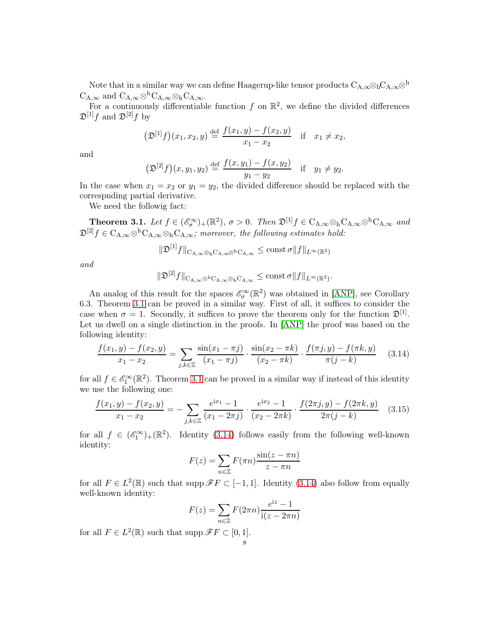Note that in a similar way we can define Haagerup-like tensor products  $C_{A,\infty} \otimes {}_{h}C_{A,\infty} \otimes {}^{h}C_{A,\infty}$  $C_{A,\infty}$  and  $C_{A,\infty} \otimes^h C_{A,\infty} \otimes^h C_{A,\infty}$ .

For a continuously differentiable function  $f$  on  $\mathbb{R}^2$ , we define the divided differences  $\mathfrak{D}^{[1]}f$  and  $\mathfrak{D}^{[2]}f$  by

$$
(\mathfrak{D}^{[1]}f)(x_1, x_2, y) \stackrel{\text{def}}{=} \frac{f(x_1, y) - f(x_2, y)}{x_1 - x_2} \quad \text{if} \quad x_1 \neq x_2,
$$

and

$$
(\mathfrak{D}^{[2]}f)(x,y_1,y_2) \stackrel{\text{def}}{=} \frac{f(x,y_1) - f(x,y_2)}{y_1 - y_2} \quad \text{if} \quad y_1 \neq y_2.
$$

In the case when  $x_1 = x_2$  or  $y_1 = y_2$ , the divided difference should be replaced with the correspnding partial derivative.

We need the followig fact:

<span id="page-7-0"></span>**Theorem 3.1.** Let  $f \in (\mathscr{E}_{\sigma}^{\infty})_{+}(\mathbb{R}^{2}), \sigma > 0$ . Then  $\mathfrak{D}^{[1]}f \in C_{A,\infty} \otimes {}_{h}C_{A,\infty} \otimes {}^{h}C_{A,\infty}$  and  $\mathfrak{D}^{[2]}f \in C_{A,\infty} \otimes h C_{A,\infty} \otimes h C_{A,\infty};$  moreover, the following estimates hold:

$$
\|\mathfrak{D}^{[1]}f\|_{{\rm C}_{\rm A,\infty}\otimes_{\rm h} {\rm C}_{\rm A,\infty}\otimes^{\rm h} {\rm C}_{\rm A,\infty}}\leq {\rm const}\,\sigma\|f\|_{L^\infty(\mathbb{R}^2)}
$$

and

$$
\|\mathfrak{D}^{[2]}f\|_{{\rm C}_{{\rm A},\infty}\otimes^{\rm h}{\rm C}_{{\rm A},\infty}\otimes_{\rm h}{\rm C}_{{\rm A},\infty}}\leq\operatorname{const}\sigma\|f\|_{L^\infty(\mathbb{R}^2)}.
$$

An analog of this result for the spaces  $\mathscr{E}_{\sigma}^{\infty}(\mathbb{R}^2)$  was obtained in [\[ANP\]](#page-16-3), see Corollary 6.3. Theorem [3.1](#page-7-0) can be proved in a similar way. First of all, it suffices to consider the case when  $\sigma = 1$ . Secondly, it suffices to prove the theorem only for the function  $\mathfrak{D}^{[1]}$ . Let us dwell on a single distinction in the proofs. In [\[ANP\]](#page-16-3) the proof was based on the following identity:

<span id="page-7-1"></span>
$$
\frac{f(x_1, y) - f(x_2, y)}{x_1 - x_2} = \sum_{j,k \in \mathbb{Z}} \frac{\sin(x_1 - \pi j)}{(x_1 - \pi j)} \cdot \frac{\sin(x_2 - \pi k)}{(x_2 - \pi k)} \cdot \frac{f(\pi j, y) - f(\pi k, y)}{\pi (j - k)} \tag{3.14}
$$

for all  $f \in \mathscr{E}_1^{\infty}(\mathbb{R}^2)$ . Theorem [3.1](#page-7-0) can be proved in a similar way if instead of this identity we use the following one:

$$
\frac{f(x_1, y) - f(x_2, y)}{x_1 - x_2} = -\sum_{j,k \in \mathbb{Z}} \frac{e^{ix_1} - 1}{(x_1 - 2\pi j)} \cdot \frac{e^{ix_2} - 1}{(x_2 - 2\pi k)} \cdot \frac{f(2\pi j, y) - f(2\pi k, y)}{2\pi (j - k)} \tag{3.15}
$$

for all  $f \in (\mathscr{E}_1^{\infty})_+(\mathbb{R}^2)$ . Identity [\(3.14\)](#page-7-1) follows easily from the following well-known identity:

$$
F(z) = \sum_{n \in \mathbb{Z}} F(\pi n) \frac{\sin(z - \pi n)}{z - \pi n}
$$

for all  $F \in L^2(\mathbb{R})$  such that supp  $\mathscr{F} F \subset [-1,1]$ . Identity [\(3.14\)](#page-7-1) also follow from equally well-known identity:

$$
F(z) = \sum_{n \in \mathbb{Z}} F(2\pi n) \frac{e^{iz} - 1}{i(z - 2\pi n)}
$$

for all  $F \in L^2(\mathbb{R})$  such that supp  $\mathscr{F} F \subset [0,1].$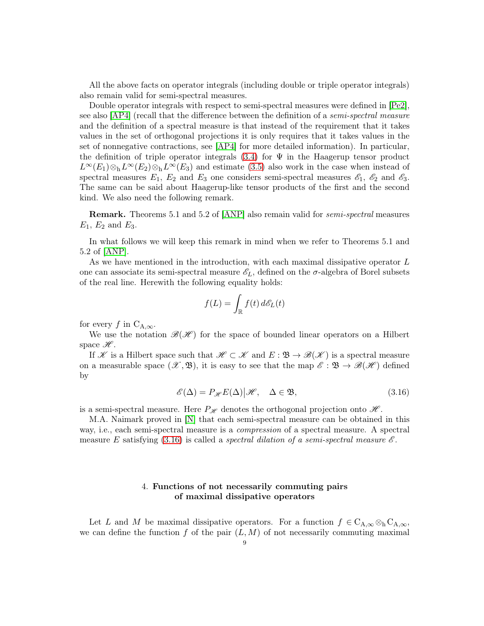All the above facts on operator integrals (including double or triple operator integrals) also remain valid for semi-spectral measures.

Double operator integrals with respect to semi-spectral measures were defined in  $[Pe2]$ , see also [\[AP4\]](#page-16-5) (recall that the difference between the definition of a semi-spectral measure and the definition of a spectral measure is that instead of the requirement that it takes values in the set of orthogonal projections it is only requires that it takes values in the set of nonnegative contractions, see [\[AP4\]](#page-16-5) for more detailed information). In particular, the definition of triple operator integrals  $(3.4)$  for  $\Psi$  in the Haagerup tensor product  $L^{\infty}(E_1) \otimes_h L^{\infty}(E_2) \otimes_h L^{\infty}(E_3)$  and estimate [\(3.5\)](#page-5-3) also work in the case when instead of spectral measures  $E_1$ ,  $E_2$  and  $E_3$  one considers semi-spectral measures  $\mathscr{E}_1$ ,  $\mathscr{E}_2$  and  $\mathscr{E}_3$ . The same can be said about Haagerup-like tensor products of the first and the second kind. We also need the following remark.

Remark. Theorems 5.1 and 5.2 of [\[ANP\]](#page-16-3) also remain valid for semi-spectral measures  $E_1, E_2$  and  $E_3$ .

In what follows we will keep this remark in mind when we refer to Theorems 5.1 and 5.2 of [\[ANP\]](#page-16-3).

As we have mentioned in the introduction, with each maximal dissipative operator L one can associate its semi-spectral measure  $\mathscr{E}_L$ , defined on the  $\sigma$ -algebra of Borel subsets of the real line. Herewith the following equality holds:

$$
f(L) = \int_{\mathbb{R}} f(t) d\mathscr{E}_L(t)
$$

for every f in  $C_{A,\infty}$ .

We use the notation  $\mathscr{B}(\mathscr{H})$  for the space of bounded linear operators on a Hilbert space  $\mathscr{H}$ .

If K is a Hilbert space such that  $\mathscr{H} \subset \mathscr{K}$  and  $E : \mathfrak{B} \to \mathscr{B}(\mathscr{K})$  is a spectral measure on a measurable space  $(\mathscr{X}, \mathfrak{B})$ , it is easy to see that the map  $\mathscr{E} : \mathfrak{B} \to \mathscr{B}(\mathscr{H})$  defined by

<span id="page-8-1"></span>
$$
\mathscr{E}(\Delta) = P_{\mathscr{H}} E(\Delta) | \mathscr{H}, \quad \Delta \in \mathfrak{B}, \tag{3.16}
$$

is a semi-spectral measure. Here  $P_{\mathscr{H}}$  denotes the orthogonal projection onto  $\mathscr{H}$ .

M.A. Naimark proved in [\[N\]](#page-16-10) that each semi-spectral measure can be obtained in this way, i.e., each semi-spectral measure is a compression of a spectral measure. A spectral measure E satisfying  $(3.16)$  is called a spectral dilation of a semi-spectral measure  $\mathscr E$ .

## 4. Functions of not necessarily commuting pairs of maximal dissipative operators

<span id="page-8-0"></span>Let L and M be maximal dissipative operators. For a function  $f \in C_{A,\infty} \otimes_{h} C_{A,\infty}$ , we can define the function f of the pair  $(L, M)$  of not necessarily commuting maximal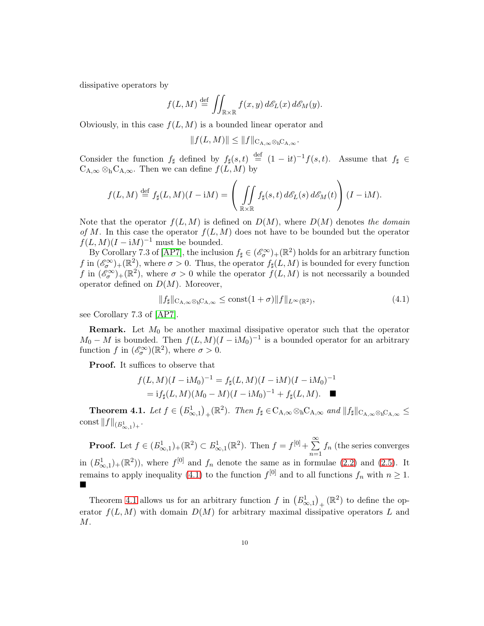dissipative operators by

$$
f(L,M) \stackrel{\text{def}}{=} \iint_{\mathbb{R} \times \mathbb{R}} f(x,y) d\mathscr{E}_L(x) d\mathscr{E}_M(y).
$$

Obviously, in this case  $f(L, M)$  is a bounded linear operator and

$$
||f(L,M)|| \leq ||f||_{\mathcal{C}_{\mathcal{A},\infty} \otimes_{\mathcal{b}} \mathcal{C}_{\mathcal{A},\infty}}.
$$

Consider the function  $f_{\sharp}$  defined by  $f_{\sharp}(s,t) \stackrel{\text{def}}{=} (1 - it)^{-1} f(s,t)$ . Assume that  $f_{\sharp} \in$  $C_{A,\infty} \otimes_h C_{A,\infty}$ . Then we can define  $f(L, M)$  by

$$
f(L,M) \stackrel{\text{def}}{=} f_{\sharp}(L,M)(I - iM) = \left( \iint\limits_{\mathbb{R} \times \mathbb{R}} f_{\sharp}(s,t) \, d\mathcal{E}_L(s) \, d\mathcal{E}_M(t) \right) (I - iM).
$$

Note that the operator  $f(L, M)$  is defined on  $D(M)$ , where  $D(M)$  denotes the domain of M. In this case the operator  $f(L, M)$  does not have to be bounded but the operator  $f(L, M)(I - iM)^{-1}$  must be bounded.

By Corollary 7.3 of [\[AP7\]](#page-16-1), the inclusion  $f_{\sharp} \in (\mathscr{E}_{\sigma}^{\infty})_{+}(\mathbb{R}^{2})$  holds for an arbitrary function f in  $(\mathscr{E}_{\sigma}^{\infty})_{+}(\mathbb{R}^{2})$ , where  $\sigma > 0$ . Thus, the operator  $f_{\sharp}(L, M)$  is bounded for every function f in  $(\mathscr{E}_{\sigma}^{\infty})_{+}(\mathbb{R}^{2})$ , where  $\sigma > 0$  while the operator  $f(L, M)$  is not necessarily a bounded operator defined on  $D(M)$ . Moreover,

<span id="page-9-0"></span>
$$
||f_{\sharp}||_{\mathcal{C}_{A,\infty}\otimes_{h}\mathcal{C}_{A,\infty}} \leq \text{const}(1+\sigma)||f||_{L^{\infty}(\mathbb{R}^{2})},\tag{4.1}
$$

see Corollary 7.3 of [\[AP7\]](#page-16-1).

**Remark.** Let  $M_0$  be another maximal dissipative operator such that the operator  $M_0 - M$  is bounded. Then  $f(L, M)(I - iM_0)^{-1}$  is a bounded operator for an arbitrary function f in  $(\mathscr{E}_{\sigma}^{\infty})(\mathbb{R}^{2}),$  where  $\sigma > 0$ .

Proof. It suffices to observe that

$$
f(L,M)(I - iM_0)^{-1} = f_{\sharp}(L,M)(I - iM)(I - iM_0)^{-1}
$$
  
= 
$$
if_{\sharp}(L,M)(M_0 - M)(I - iM_0)^{-1} + f_{\sharp}(L,M).
$$

<span id="page-9-1"></span>**Theorem 4.1.** Let  $f \in (B^1_{\infty,1})_+({\mathbb{R}}^2)$ . Then  $f_{\sharp} \in C_{A,\infty} \otimes_h C_{A,\infty}$  and  $||f_{\sharp}||_{C_{A,\infty} \otimes_h C_{A,\infty}} \leq$  $\cosh \|f\|_{(B^1_{\infty,1})_+}.$ 

**Proof.** Let  $f \in (B^1_{\infty,1})_+(\mathbb{R}^2) \subset B^1_{\infty,1}(\mathbb{R}^2)$ . Then  $f = f^{[0]} + \sum_{n=1}^{\infty} f_n$  (the series converges  $n=1$ in  $(B_{\infty,1}^1)_+({\mathbb{R}}^2)$ , where  $f^{[0]}$  and  $f_n$  denote the same as in formulae [\(2.2\)](#page-2-2) and [\(2.5\)](#page-3-0). It remains to apply inequality [\(4.1\)](#page-9-0) to the function  $f^{[0]}$  and to all functions  $f_n$  with  $n \geq 1$ . п

Theorem [4.1](#page-9-1) allows us for an arbitrary function  $f$  in  $(B_{\infty,1}^1)_+$  ( $\mathbb{R}^2$ ) to define the operator  $f(L, M)$  with domain  $D(M)$  for arbitrary maximal dissipative operators L and M.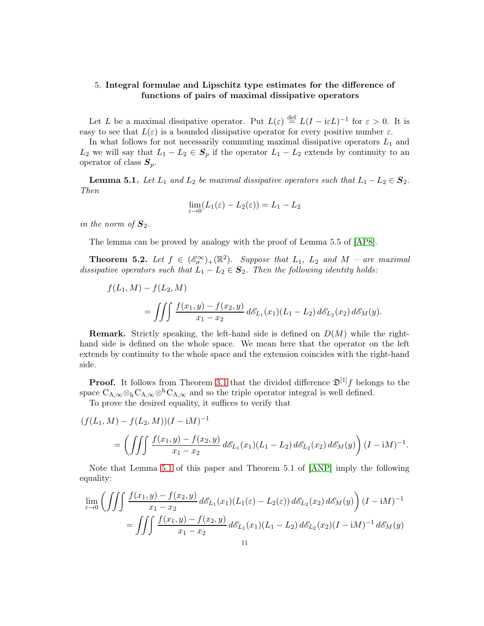## <span id="page-10-0"></span>5. Integral formulae and Lipschitz type estimates for the difference of functions of pairs of maximal dissipative operators

Let L be a maximal dissipative operator. Put  $L(\varepsilon) \stackrel{\text{def}}{=} L(I - i\varepsilon L)^{-1}$  for  $\varepsilon > 0$ . It is easy to see that  $L(\varepsilon)$  is a bounded dissipative operator for every positive number  $\varepsilon$ .

In what follows for not necessarily commuting maximal dissipative operators  $L_1$  and  $L_2$  we will say that  $L_1 - L_2 \in S_p$  if the operator  $L_1 - L_2$  extends by continuity to an operator of class  $S_p$ .

<span id="page-10-1"></span>**Lemma 5.1.** Let  $L_1$  and  $L_2$  be maximal dissipative operators such that  $L_1 - L_2 \in \mathcal{S}_2$ . Then

$$
\lim_{\varepsilon \to 0} (L_1(\varepsilon) - L_2(\varepsilon)) = L_1 - L_2
$$

in the norm of  $S_2$ .

The lemma can be proved by analogy with the proof of Lemma 5.5 of [\[AP8\]](#page-16-0).

<span id="page-10-2"></span>**Theorem 5.2.** Let  $f \in (\mathscr{E}_{\sigma}^{\infty})_{+}(\mathbb{R}^{2})$ . Suppose that  $L_{1}$ ,  $L_{2}$  and  $M$  – are maximal dissipative operators such that  $L_1 - L_2 \in S_2$ . Then the following identity holds:

$$
f(L_1, M) - f(L_2, M)
$$
  
= 
$$
\iiint \frac{f(x_1, y) - f(x_2, y)}{x_1 - x_2} d\mathcal{E}_{L_1}(x_1) (L_1 - L_2) d\mathcal{E}_{L_2}(x_2) d\mathcal{E}_M(y).
$$

**Remark.** Strictly speaking, the left-hand side is defined on  $D(M)$  while the righthand side is defined on the whole space. We mean here that the operator on the left extends by continuity to the whole space and the extension coincides with the right-hand side.

**Proof.** It follows from Theorem [3.1](#page-7-0) that the divided difference  $\mathfrak{D}^{[1]}f$  belongs to the space  $C_{A,\infty} \otimes_h C_{A,\infty} \otimes^h C_{A,\infty}$  and so the triple operator integral is well defined.

To prove the desired equality, it suffices to verify that

$$
(f(L_1, M) - f(L_2, M))(I - iM)^{-1}
$$
  
= 
$$
\left( \iiint \frac{f(x_1, y) - f(x_2, y)}{x_1 - x_2} d\mathcal{E}_{L_1}(x_1)(L_1 - L_2) d\mathcal{E}_{L_2}(x_2) d\mathcal{E}_M(y) \right) (I - iM)^{-1}.
$$

Note that Lemma [5.1](#page-10-1) of this paper and Theorem 5.1 of [\[ANP\]](#page-16-3) imply the following equality:

$$
\lim_{\varepsilon \to 0} \left( \iiint \frac{f(x_1, y) - f(x_2, y)}{x_1 - x_2} d\mathcal{E}_{L_1}(x_1) (L_1(\varepsilon) - L_2(\varepsilon)) d\mathcal{E}_{L_2}(x_2) d\mathcal{E}_M(y) \right) (I - iM)^{-1}
$$

$$
= \iiint \frac{f(x_1, y) - f(x_2, y)}{x_1 - x_2} d\mathcal{E}_{L_1}(x_1) (L_1 - L_2) d\mathcal{E}_{L_2}(x_2) (I - iM)^{-1} d\mathcal{E}_M(y)
$$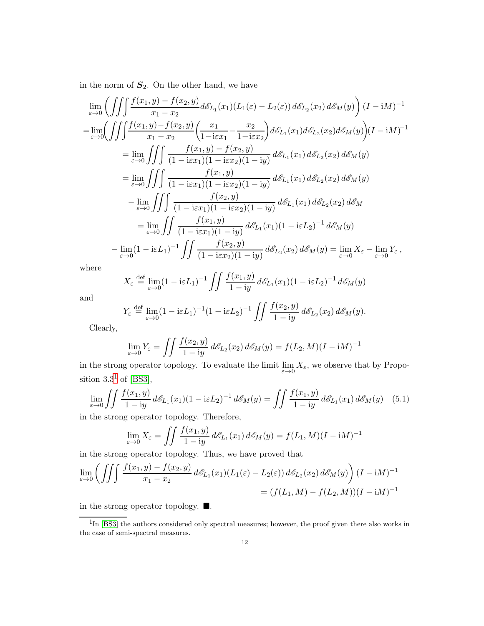in the norm of  $S_2$ . On the other hand, we have

$$
\lim_{\varepsilon \to 0} \left( \iiint \frac{f(x_1, y) - f(x_2, y)}{x_1 - x_2} d\mathcal{E}_{L_1}(x_1) (L_1(\varepsilon) - L_2(\varepsilon)) d\mathcal{E}_{L_2}(x_2) d\mathcal{E}_M(y) \right) (I - iM)^{-1}
$$
\n
$$
= \lim_{\varepsilon \to 0} \left( \iiint \frac{f(x_1, y) - f(x_2, y)}{x_1 - x_2} \left( \frac{x_1}{1 - i \varepsilon x_1} - \frac{x_2}{1 - i \varepsilon x_2} \right) d\mathcal{E}_{L_1}(x_1) d\mathcal{E}_{L_2}(x_2) d\mathcal{E}_M(y) \right) (I - iM)^{-1}
$$
\n
$$
= \lim_{\varepsilon \to 0} \iiint \frac{f(x_1, y) - f(x_2, y)}{(1 - i \varepsilon x_1)(1 - i \varepsilon x_2)(1 - iy)} d\mathcal{E}_{L_1}(x_1) d\mathcal{E}_{L_2}(x_2) d\mathcal{E}_M(y)
$$
\n
$$
= \lim_{\varepsilon \to 0} \iiint \frac{f(x_1, y)}{(1 - i \varepsilon x_1)(1 - i \varepsilon x_2)(1 - iy)} d\mathcal{E}_{L_1}(x_1) d\mathcal{E}_{L_2}(x_2) d\mathcal{E}_M(y)
$$
\n
$$
- \lim_{\varepsilon \to 0} \iiint \frac{f(x_2, y)}{(1 - i \varepsilon x_1)(1 - i \varepsilon x_2)(1 - iy)} d\mathcal{E}_{L_1}(x_1) d\mathcal{E}_{L_2}(x_2) d\mathcal{E}_M
$$
\n
$$
= \lim_{\varepsilon \to 0} \iiint \frac{f(x_1, y)}{(1 - i \varepsilon x_1)(1 - iy)} d\mathcal{E}_{L_1}(x_1) (1 - i \varepsilon L_2)^{-1} d\mathcal{E}_M(y)
$$
\n
$$
- \lim_{\varepsilon \to 0} (1 - i \varepsilon L_1)^{-1} \iiint \frac{f(x_2, y)}{(1 - i \varepsilon x_2)(1 - iy)} d\mathcal{E}_{L_2}(x_2) d\mathcal{E}_M(y) = \
$$

where

$$
X_{\varepsilon} \stackrel{\text{def}}{=} \lim_{\varepsilon \to 0} (1 - i\varepsilon L_1)^{-1} \iint \frac{f(x_1, y)}{1 - iy} d\mathcal{E}_{L_1}(x_1) (1 - i\varepsilon L_2)^{-1} d\mathcal{E}_M(y)
$$

and

$$
Y_{\varepsilon} \stackrel{\text{def}}{=} \lim_{\varepsilon \to 0} (1 - i\varepsilon L_1)^{-1} (1 - i\varepsilon L_2)^{-1} \iint \frac{f(x_2, y)}{1 - iy} d\mathscr{E}_{L_2}(x_2) d\mathscr{E}_M(y).
$$

Clearly,

$$
\lim_{\varepsilon \to 0} Y_{\varepsilon} = \iint \frac{f(x_2, y)}{1 - iy} d\mathscr{E}_{L_2}(x_2) d\mathscr{E}_M(y) = f(L_2, M)(I - iM)^{-1}
$$

in the strong operator topology. To evaluate the limit  $\lim_{\varepsilon \to 0} X_{\varepsilon}$ , we observe that by Proposition  $3.3^1$  $3.3^1$  of [\[BS3\]](#page-16-11),

<span id="page-11-1"></span>
$$
\lim_{\varepsilon \to 0} \iint \frac{f(x_1, y)}{1 - iy} d\mathcal{E}_{L_1}(x_1) (1 - i\varepsilon L_2)^{-1} d\mathcal{E}_M(y) = \iint \frac{f(x_1, y)}{1 - iy} d\mathcal{E}_{L_1}(x_1) d\mathcal{E}_M(y) \quad (5.1)
$$

in the strong operator topology. Therefore,

$$
\lim_{\varepsilon \to 0} X_{\varepsilon} = \iint \frac{f(x_1, y)}{1 - iy} d\mathcal{E}_{L_1}(x_1) d\mathcal{E}_M(y) = f(L_1, M)(I - iM)^{-1}
$$

in the strong operator topology. Thus, we have proved that

$$
\lim_{\varepsilon \to 0} \left( \iiint \frac{f(x_1, y) - f(x_2, y)}{x_1 - x_2} d\mathcal{E}_{L_1}(x_1) (L_1(\varepsilon) - L_2(\varepsilon)) d\mathcal{E}_{L_2}(x_2) d\mathcal{E}_M(y) \right) (I - iM)^{-1}
$$
  
=  $(f(L_1, M) - f(L_2, M))(I - iM)^{-1}$ 

in the strong operator topology.  $\blacksquare$ .

<span id="page-11-0"></span><sup>&</sup>lt;sup>1</sup>In [\[BS3\]](#page-16-11) the authors considered only spectral measures; however, the proof given there also works in the case of semi-spectral measures.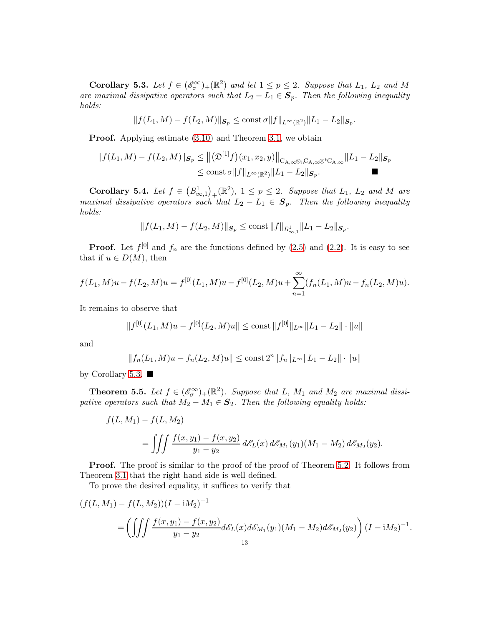<span id="page-12-0"></span>Corollary 5.3. Let  $f \in (\mathscr{E}_{\sigma}^{\infty})_{+}(\mathbb{R}^{2})$  and let  $1 \leq p \leq 2$ . Suppose that  $L_{1}$ ,  $L_{2}$  and M are maximal dissipative operators such that  $L_2 - L_1 \in \mathcal{S}_p$ . Then the following inequality holds:

$$
||f(L_1, M) - f(L_2, M)||_{\mathcal{S}_p} \le \text{const } \sigma ||f||_{L^{\infty}(\mathbb{R}^2)} ||L_1 - L_2||_{\mathcal{S}_p}.
$$

Proof. Applying estimate [\(3.10\)](#page-6-2) and Theorem [3.1,](#page-7-0) we obtain

$$
||f(L_1, M) - f(L_2, M)||_{\mathcal{S}_p} \le ||(\mathfrak{D}^{[1]}f)(x_1, x_2, y)||_{\mathcal{C}_{A, \infty} \otimes_{h} \mathcal{C}_{A, \infty}} ||L_1 - L_2||_{\mathcal{S}_p}
$$
  

$$
\le \text{const } \sigma ||f||_{L^{\infty}(\mathbb{R}^2)} ||L_1 - L_2||_{\mathcal{S}_p}.
$$

<span id="page-12-1"></span>**Corollary 5.4.** Let  $f \in (B^1_{\infty,1})_+(\mathbb{R}^2)$ ,  $1 \leq p \leq 2$ . Suppose that  $L_1$ ,  $L_2$  and M are maximal dissipative operators such that  $L_2 - L_1 \in \mathbf{S}_p$ . Then the following inequality holds:

$$
||f(L_1, M) - f(L_2, M)||_{\mathcal{S}_p} \le \text{const} ||f||_{B^1_{\infty, 1}} ||L_1 - L_2||_{\mathcal{S}_p}.
$$

**Proof.** Let  $f^{[0]}$  and  $f_n$  are the functions defined by [\(2.5\)](#page-3-0) and [\(2.2\)](#page-2-2). It is easy to see that if  $u \in D(M)$ , then

$$
f(L_1, M)u - f(L_2, M)u = f^{[0]}(L_1, M)u - f^{[0]}(L_2, M)u + \sum_{n=1}^{\infty} (f_n(L_1, M)u - f_n(L_2, M)u).
$$

It remains to observe that

$$
||f^{[0]}(L_1, M)u - f^{[0]}(L_2, M)u|| \le \text{const } ||f^{[0]}||_{L^{\infty}} ||L_1 - L_2|| \cdot ||u||
$$

and

$$
||f_n(L_1, M)u - f_n(L_2, M)u|| \le \text{const } 2^n ||f_n||_{L^{\infty}} ||L_1 - L_2|| \cdot ||u||
$$

by Corollary [5.3.](#page-12-0)  $\blacksquare$ 

<span id="page-12-2"></span>**Theorem 5.5.** Let  $f \in (\mathcal{E}_{\sigma}^{\infty})_{+}(\mathbb{R}^{2})$ . Suppose that L,  $M_{1}$  and  $M_{2}$  are maximal dissipative operators such that  $M_2 - M_1 \in \mathcal{S}_2$ . Then the following equality holds:

$$
f(L, M_1) - f(L, M_2)
$$
  
= 
$$
\iiint \frac{f(x, y_1) - f(x, y_2)}{y_1 - y_2} d\mathcal{E}_L(x) d\mathcal{E}_{M_1}(y_1) (M_1 - M_2) d\mathcal{E}_{M_2}(y_2).
$$

Proof. The proof is similar to the proof of the proof of Theorem [5.2.](#page-10-2) It follows from Theorem [3.1](#page-7-0) that the right-hand side is well defined.

To prove the desired equality, it suffices to verify that

$$
(f(L, M_1) - f(L, M_2))(I - iM_2)^{-1}
$$
  
= 
$$
\left( \iiint \frac{f(x, y_1) - f(x, y_2)}{y_1 - y_2} d\mathcal{E}_L(x) d\mathcal{E}_{M_1}(y_1) (M_1 - M_2) d\mathcal{E}_{M_2}(y_2) \right) (I - iM_2)^{-1}.
$$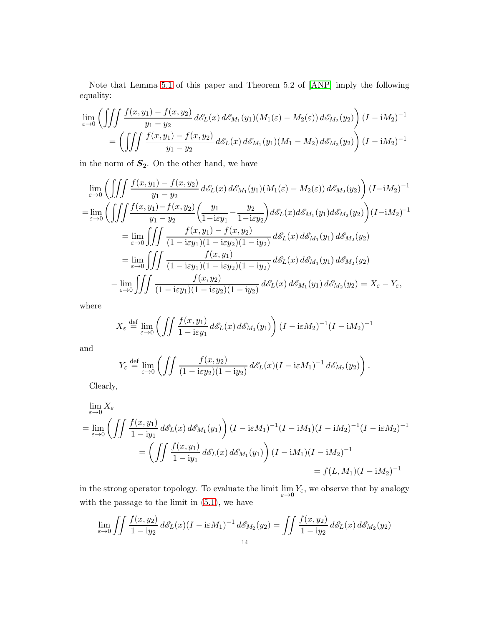Note that Lemma [5.1](#page-10-1) of this paper and Theorem 5.2 of [\[ANP\]](#page-16-3) imply the following equality:

$$
\lim_{\varepsilon \to 0} \left( \iiint \frac{f(x, y_1) - f(x, y_2)}{y_1 - y_2} d\mathcal{E}_L(x) d\mathcal{E}_{M_1}(y_1) (M_1(\varepsilon) - M_2(\varepsilon)) d\mathcal{E}_{M_2}(y_2) \right) (I - iM_2)^{-1}
$$
  
= 
$$
\left( \iiint \frac{f(x, y_1) - f(x, y_2)}{y_1 - y_2} d\mathcal{E}_L(x) d\mathcal{E}_{M_1}(y_1) (M_1 - M_2) d\mathcal{E}_{M_2}(y_2) \right) (I - iM_2)^{-1}
$$

in the norm of  $S_2$ . On the other hand, we have

$$
\lim_{\varepsilon \to 0} \left( \iiint \frac{f(x, y_1) - f(x, y_2)}{y_1 - y_2} d\varepsilon_L(x) d\varepsilon_{M_1}(y_1) (M_1(\varepsilon) - M_2(\varepsilon)) d\varepsilon_{M_2}(y_2) \right) (I - iM_2)^{-1}
$$
\n
$$
= \lim_{\varepsilon \to 0} \left( \iiint \frac{f(x, y_1) - f(x, y_2)}{y_1 - y_2} \left( \frac{y_1}{1 - i\varepsilon y_1} - \frac{y_2}{1 - i\varepsilon y_2} \right) d\varepsilon_L(x) d\varepsilon_{M_1}(y_1) d\varepsilon_{M_2}(y_2) \right) (I - iM_2)^{-1}
$$
\n
$$
= \lim_{\varepsilon \to 0} \iiint \frac{f(x, y_1) - f(x, y_2)}{(1 - i\varepsilon y_1)(1 - i\varepsilon y_2)(1 - iy_2)} d\varepsilon_L(x) d\varepsilon_{M_1}(y_1) d\varepsilon_{M_2}(y_2)
$$
\n
$$
= \lim_{\varepsilon \to 0} \iiint \frac{f(x, y_1)}{(1 - i\varepsilon y_1)(1 - i\varepsilon y_2)(1 - iy_2)} d\varepsilon_L(x) d\varepsilon_{M_1}(y_1) d\varepsilon_{M_2}(y_2)
$$
\n
$$
- \lim_{\varepsilon \to 0} \iiint \frac{f(x, y_2)}{(1 - i\varepsilon y_1)(1 - i\varepsilon y_2)(1 - iy_2)} d\varepsilon_L(x) d\varepsilon_{M_1}(y_1) d\varepsilon_{M_2}(y_2) = X_{\varepsilon} - Y_{\varepsilon},
$$

where

$$
X_{\varepsilon} \stackrel{\text{def}}{=} \lim_{\varepsilon \to 0} \left( \iint \frac{f(x, y_1)}{1 - i\varepsilon y_1} d\mathcal{E}_L(x) d\mathcal{E}_{M_1}(y_1) \right) (I - i\varepsilon M_2)^{-1} (I - iM_2)^{-1}
$$

and

$$
Y_{\varepsilon} \stackrel{\text{def}}{=} \lim_{\varepsilon \to 0} \left( \iint \frac{f(x, y_2)}{(1 - i\varepsilon y_2)(1 - iy_2)} d\mathscr{E}_L(x) (I - i\varepsilon M_1)^{-1} d\mathscr{E}_{M_2}(y_2) \right).
$$

Clearly,

$$
\lim_{\varepsilon \to 0} X_{\varepsilon}
$$
\n
$$
= \lim_{\varepsilon \to 0} \left( \iint \frac{f(x, y_1)}{1 - iy_1} d\mathcal{E}_L(x) d\mathcal{E}_{M_1}(y_1) \right) (I - i\varepsilon M_1)^{-1} (I - iM_1)(I - iM_2)^{-1} (I - i\varepsilon M_2)^{-1}
$$
\n
$$
= \left( \iint \frac{f(x, y_1)}{1 - iy_1} d\mathcal{E}_L(x) d\mathcal{E}_{M_1}(y_1) \right) (I - iM_1)(I - iM_2)^{-1}
$$
\n
$$
= f(L, M_1)(I - iM_2)^{-1}
$$

in the strong operator topology. To evaluate the limit  $\lim_{\varepsilon \to 0} Y_{\varepsilon}$ , we observe that by analogy with the passage to the limit in [\(5.1\)](#page-11-1), we have

$$
\lim_{\varepsilon \to 0} \iint \frac{f(x, y_2)}{1 - iy_2} d\mathcal{E}_L(x) (I - i\varepsilon M_1)^{-1} d\mathcal{E}_{M_2}(y_2) = \iint \frac{f(x, y_2)}{1 - iy_2} d\mathcal{E}_L(x) d\mathcal{E}_{M_2}(y_2)
$$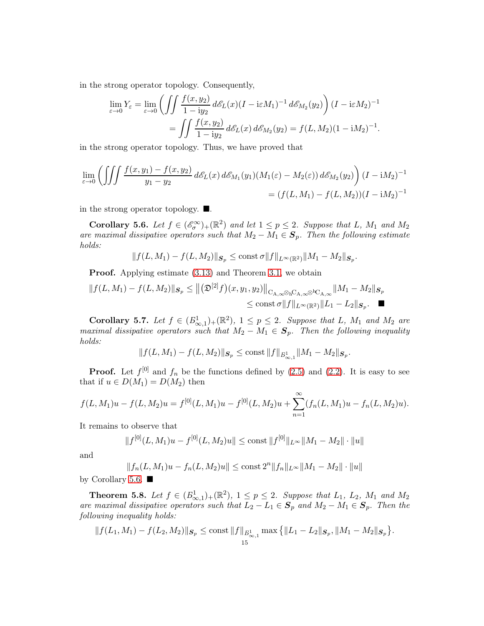in the strong operator topology. Consequently,

$$
\lim_{\varepsilon \to 0} Y_{\varepsilon} = \lim_{\varepsilon \to 0} \left( \iint \frac{f(x, y_2)}{1 - iy_2} d\mathcal{E}_L(x) (I - i\varepsilon M_1)^{-1} d\mathcal{E}_{M_2}(y_2) \right) (I - i\varepsilon M_2)^{-1}
$$

$$
= \iint \frac{f(x, y_2)}{1 - iy_2} d\mathcal{E}_L(x) d\mathcal{E}_{M_2}(y_2) = f(L, M_2)(1 - iM_2)^{-1}.
$$

in the strong operator topology. Thus, we have proved that

$$
\lim_{\varepsilon \to 0} \left( \iiint \frac{f(x, y_1) - f(x, y_2)}{y_1 - y_2} d\mathcal{E}_L(x) d\mathcal{E}_{M_1}(y_1) (M_1(\varepsilon) - M_2(\varepsilon)) d\mathcal{E}_{M_2}(y_2) \right) (I - iM_2)^{-1}
$$
  
=  $(f(L, M_1) - f(L, M_2))(I - iM_2)^{-1}$ 

in the strong operator topology.  $\blacksquare$ .

<span id="page-14-0"></span>Corollary 5.6. Let  $f \in (\mathscr{E}_{\sigma}^{\infty})_{+}(\mathbb{R}^{2})$  and let  $1 \leq p \leq 2$ . Suppose that L,  $M_{1}$  and  $M_{2}$ are maximal dissipative operators such that  $M_2 - M_1 \in S_p$ . Then the following estimate holds:

$$
||f(L,M_1) - f(L,M_2)||_{\mathcal{S}_p} \le \text{const} \,\sigma ||f||_{L^{\infty}(\mathbb{R}^2)} ||M_1 - M_2||_{\mathcal{S}_p}.
$$

Proof. Applying estimate [\(3.13\)](#page-6-3) and Theorem [3.1,](#page-7-0) we obtain

$$
||f(L, M_1) - f(L, M_2)||_{\mathcal{S}_p} \le ||(\mathfrak{D}^{[2]}f)(x, y_1, y_2)||_{C_{A, \infty} \otimes hC_{A, \infty}} \otimes hC_{A, \infty}} ||M_1 - M_2||_{\mathcal{S}_p}
$$
  

$$
\le \text{const } \sigma ||f||_{L^{\infty}(\mathbb{R}^2)} ||L_1 - L_2||_{\mathcal{S}_p}.
$$

<span id="page-14-1"></span>Corollary 5.7. Let  $f \in (B^1_{\infty,1})_+(\mathbb{R}^2)$ ,  $1 \leq p \leq 2$ . Suppose that L,  $M_1$  and  $M_2$  are maximal dissipative operators such that  $M_2 - M_1 \in S_p$ . Then the following inequality holds:

$$
|| f(L, M_1) - f(L, M_2)||_{\mathcal{S}_p} \le \text{const} ||f||_{B_{\infty, 1}^1} ||M_1 - M_2||_{\mathcal{S}_p}.
$$

**Proof.** Let  $f^{[0]}$  and  $f_n$  be the functions defined by [\(2.5\)](#page-3-0) and [\(2.2\)](#page-2-2). It is easy to see that if  $u \in D(M_1) = D(M_2)$  then

$$
f(L,M_1)u - f(L,M_2)u = f^{[0]}(L,M_1)u - f^{[0]}(L,M_2)u + \sum_{n=1}^{\infty} (f_n(L,M_1)u - f_n(L,M_2)u).
$$

It remains to observe that

$$
||f^{[0]}(L,M_1)u - f^{[0]}(L,M_2)u|| \le \text{const } ||f^{[0]}||_{L^{\infty}} ||M_1 - M_2|| \cdot ||u||
$$

and

$$
||f_n(L, M_1)u - f_n(L, M_2)u|| \le \text{const } 2^n ||f_n||_{L^{\infty}} ||M_1 - M_2|| \cdot ||u||
$$
 by Corollary 5.6.  $\blacksquare$ 

<span id="page-14-2"></span>**Theorem 5.8.** Let  $f \in (B^1_{\infty,1})_+(\mathbb{R}^2)$ ,  $1 \leq p \leq 2$ . Suppose that  $L_1$ ,  $L_2$ ,  $M_1$  and  $M_2$ are maximal dissipative operators such that  $L_2 - L_1 \in \mathbf{S}_p$  and  $M_2 - M_1 \in \mathbf{S}_p$ . Then the following inequality holds:

$$
|| f(L_1, M_1) - f(L_2, M_2)||_{\mathcal{S}_p} \le \text{const } ||f||_{B_{\infty,1}^1} \max \big\{ ||L_1 - L_2||_{\mathcal{S}_p}, ||M_1 - M_2||_{\mathcal{S}_p} \big\}.
$$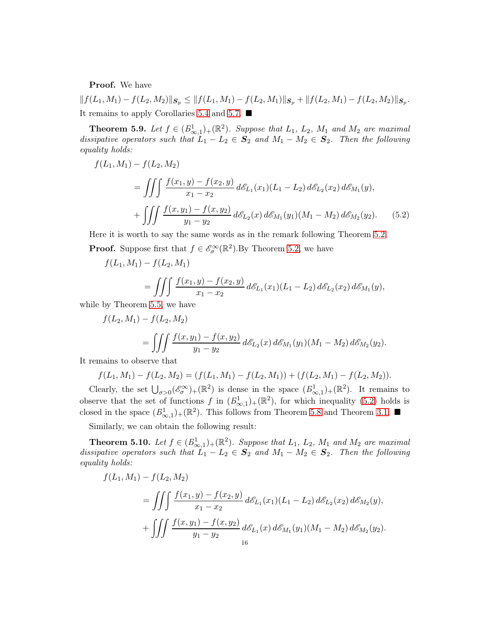Proof. We have

 $|| f(L_1, M_1) - f(L_2, M_2)||_{\mathcal{S}_p} \le || f(L_1, M_1) - f(L_2, M_1)||_{\mathcal{S}_p} + || f(L_2, M_1) - f(L_2, M_2)||_{\mathcal{S}_p}.$ It remains to apply Corollaries [5.4](#page-12-1) and [5.7.](#page-14-1)

**Theorem 5.9.** Let  $f \in (B^1_{\infty,1})_+(\mathbb{R}^2)$ . Suppose that  $L_1$ ,  $L_2$ ,  $M_1$  and  $M_2$  are maximal dissipative operators such that  $L_1 - L_2 \in S_2$  and  $M_1 - M_2 \in S_2$ . Then the following equality holds:

$$
f(L_1, M_1) - f(L_2, M_2)
$$
  
= 
$$
\iiint \frac{f(x_1, y) - f(x_2, y)}{x_1 - x_2} d\mathcal{E}_{L_1}(x_1) (L_1 - L_2) d\mathcal{E}_{L_2}(x_2) d\mathcal{E}_{M_1}(y),
$$
  
+ 
$$
\iiint \frac{f(x, y_1) - f(x, y_2)}{y_1 - y_2} d\mathcal{E}_{L_2}(x) d\mathcal{E}_{M_1}(y_1) (M_1 - M_2) d\mathcal{E}_{M_2}(y_2).
$$
 (5.2)

Here it is worth to say the same words as in the remark following Theorem [5.2.](#page-10-2) **Proof.** Suppose first that  $f \in \mathcal{E}_{\sigma}^{\infty}(\mathbb{R}^{2})$ . By Theorem [5.2,](#page-10-2) we have

<span id="page-15-0"></span>
$$
f(L_1, M_1) - f(L_2, M_1)
$$
  
= 
$$
\iiint \frac{f(x_1, y) - f(x_2, y)}{x_1 - x_2} d\mathcal{E}_{L_1}(x_1) (L_1 - L_2) d\mathcal{E}_{L_2}(x_2) d\mathcal{E}_{M_1}(y),
$$

while by Theorem [5.5,](#page-12-2) we have

$$
f(L_2, M_1) - f(L_2, M_2)
$$
  
= 
$$
\iiint \frac{f(x, y_1) - f(x, y_2)}{y_1 - y_2} d\mathcal{E}_{L_2}(x) d\mathcal{E}_{M_1}(y_1) (M_1 - M_2) d\mathcal{E}_{M_2}(y_2).
$$

It remains to observe that

$$
f(L_1, M_1) - f(L_2, M_2) = (f(L_1, M_1) - f(L_2, M_1)) + (f(L_2, M_1) - f(L_2, M_2)).
$$

Clearly, the set  $\bigcup_{\sigma>0}$  ( $\mathscr{E}_{\sigma}^{\infty}$ )+( $\mathbb{R}^{2}$ ) is dense in the space  $(B_{\infty,1}^{1})$ +( $\mathbb{R}^{2}$ ). It remains to observe that the set of functions f in  $(B_{\infty,1}^1)_+(\mathbb{R}^2)$ , for which inequality [\(5.2\)](#page-15-0) holds is closed in the space  $(B^1_{\infty,1})_+(\mathbb{R}^2)$ . This follows from Theorem [5.8](#page-14-2) and Theorem [3.1.](#page-7-0)

Similarly, we can obtain the following result:

**Theorem 5.10.** Let  $f \in (B^1_{\infty,1})_+(\mathbb{R}^2)$ . Suppose that  $L_1$ ,  $L_2$ ,  $M_1$  and  $M_2$  are maximal dissipative operators such that  $L_1 - L_2 \in S_2$  and  $M_1 - M_2 \in S_2$ . Then the following equality holds:

$$
f(L_1, M_1) - f(L_2, M_2)
$$
  
= 
$$
\iiint \frac{f(x_1, y) - f(x_2, y)}{x_1 - x_2} d\mathcal{E}_{L_1}(x_1)(L_1 - L_2) d\mathcal{E}_{L_2}(x_2) d\mathcal{E}_{M_2}(y),
$$
  
+ 
$$
\iiint \frac{f(x, y_1) - f(x, y_2)}{y_1 - y_2} d\mathcal{E}_{L_1}(x) d\mathcal{E}_{M_1}(y_1)(M_1 - M_2) d\mathcal{E}_{M_2}(y_2).
$$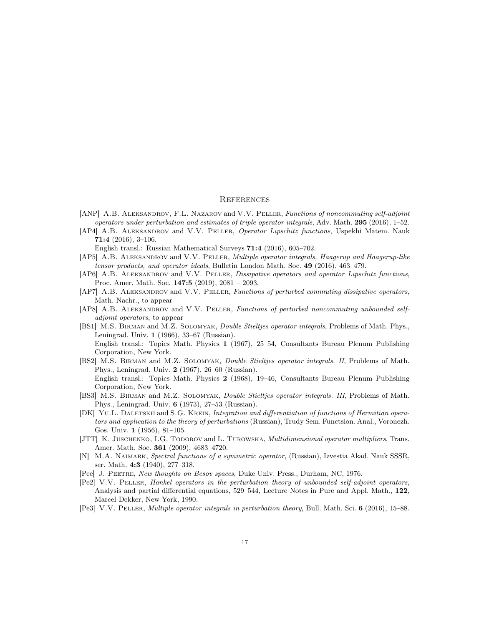### **REFERENCES**

- <span id="page-16-3"></span>[ANP] A.B. ALEKSANDROV, F.L. NAZAROV and V.V. PELLER, Functions of noncommuting self-adjoint operators under perturbation and estimates of triple operator integrals, Adv. Math.  $295$  (2016), 1–52.
- <span id="page-16-5"></span>[AP4] A.B. ALEKSANDROV and V.V. PELLER, Operator Lipschitz functions, Uspekhi Matem. Nauk 71:4 (2016), 3–106.
	- English transl.: Russian Mathematical Surveys 71:4 (2016), 605–702.
- <span id="page-16-8"></span>[AP5] A.B. ALEKSANDROV and V.V. PELLER, Multiple operator integrals, Haagerup and Haagerup-like tensor products, and operator ideals, Bulletin London Math. Soc. 49 (2016), 463–479.
- <span id="page-16-2"></span>[AP6] A.B. ALEKSANDROV and V.V. PELLER, Dissipative operators and operator Lipschitz functions, Proc. Amer. Math. Soc.  $147:5$  (2019), 2081 – 2093.
- <span id="page-16-1"></span>[AP7] A.B. ALEKSANDROV and V.V. PELLER, Functions of perturbed commuting dissipative operators, Math. Nachr., to appear
- <span id="page-16-0"></span>[AP8] A.B. ALEKSANDROV and V.V. PELLER, Functions of perturbed noncommuting unbounded selfadjoint operators, to appear
- [BS1] M.S. BIRMAN and M.Z. SOLOMYAK, *Double Stieltjes operator integrals*, Problems of Math. Phys., Leningrad. Univ. 1 (1966), 33–67 (Russian). English transl.: Topics Math. Physics 1 (1967), 25–54, Consultants Bureau Plenum Publishing Corporation, New York.
- [BS2] M.S. Birman and M.Z. Solomyak, Double Stieltjes operator integrals. II, Problems of Math. Phys., Leningrad. Univ. 2 (1967), 26–60 (Russian). English transl.: Topics Math. Physics 2 (1968), 19–46, Consultants Bureau Plenum Publishing Corporation, New York.
- <span id="page-16-11"></span>[BS3] M.S. Birman and M.Z. Solomyak, Double Stieltjes operator integrals. III, Problems of Math. Phys., Leningrad. Univ. 6 (1973), 27–53 (Russian).
- [DK] YU.L. DALETSKII and S.G. KREIN, Integration and differentiation of functions of Hermitian operators and application to the theory of perturbations (Russian), Trudy Sem. Functsion. Anal., Voronezh. Gos. Univ. 1 (1956), 81–105.
- <span id="page-16-7"></span>[JTT] K. JUSCHENKO, I.G. TODOROV and L. TUROWSKA, *Multidimensional operator multipliers*, Trans. Amer. Math. Soc. 361 (2009), 4683–4720.
- <span id="page-16-10"></span>[N] M.A. Naimark, Spectral functions of a symmetric operator, (Russian), Izvestia Akad. Nauk SSSR, ser. Math. 4:3 (1940), 277–318.
- <span id="page-16-4"></span>[Pee] J. Peetre, New thoughts on Besov spaces, Duke Univ. Press., Durham, NC, 1976.
- <span id="page-16-9"></span>[Pe2] V.V. Peller, Hankel operators in the perturbation theory of unbounded self-adjoint operators, Analysis and partial differential equations, 529–544, Lecture Notes in Pure and Appl. Math., 122, Marcel Dekker, New York, 1990.
- <span id="page-16-6"></span>[Pe3] V.V. Peller, Multiple operator integrals in perturbation theory, Bull. Math. Sci. 6 (2016), 15–88.